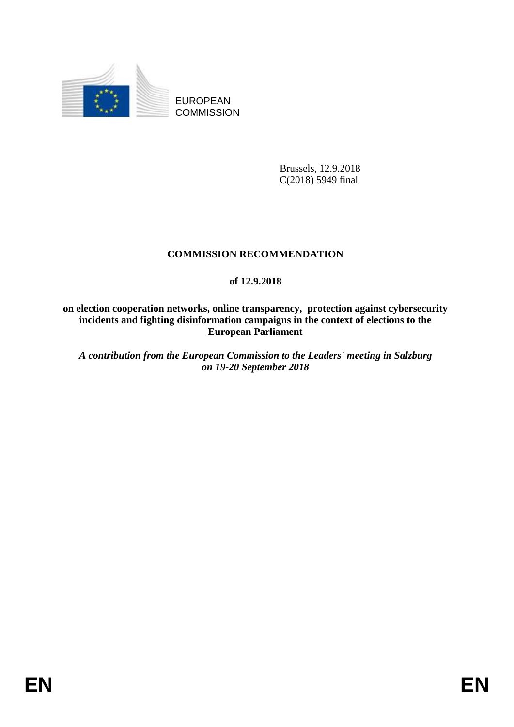

EUROPEAN **COMMISSION** 

> Brussels, 12.9.2018 C(2018) 5949 final

# **COMMISSION RECOMMENDATION**

## **of 12.9.2018**

**on election cooperation networks, online transparency, protection against cybersecurity incidents and fighting disinformation campaigns in the context of elections to the European Parliament**

*A contribution from the European Commission to the Leaders' meeting in Salzburg on 19-20 September 2018*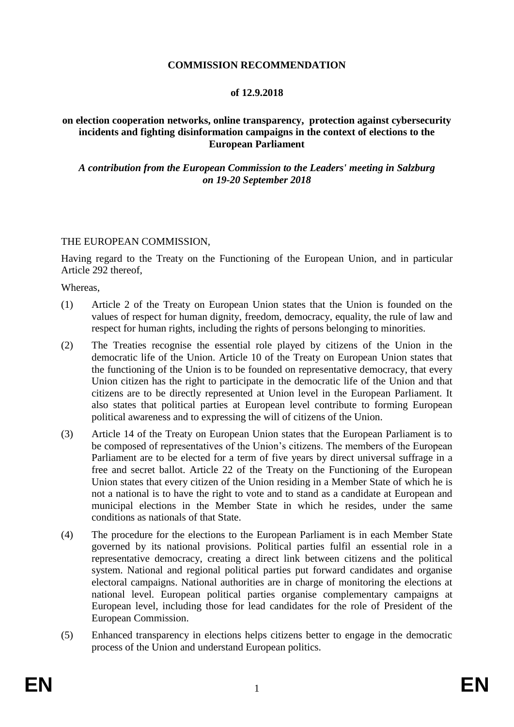### **COMMISSION RECOMMENDATION**

#### **of 12.9.2018**

### **on election cooperation networks, online transparency, protection against cybersecurity incidents and fighting disinformation campaigns in the context of elections to the European Parliament**

#### *A contribution from the European Commission to the Leaders' meeting in Salzburg on 19-20 September 2018*

#### THE EUROPEAN COMMISSION,

Having regard to the Treaty on the Functioning of the European Union, and in particular Article 292 thereof,

Whereas,

- (1) Article 2 of the Treaty on European Union states that the Union is founded on the values of respect for human dignity, freedom, democracy, equality, the rule of law and respect for human rights, including the rights of persons belonging to minorities.
- (2) The Treaties recognise the essential role played by citizens of the Union in the democratic life of the Union. Article 10 of the Treaty on European Union states that the functioning of the Union is to be founded on representative democracy, that every Union citizen has the right to participate in the democratic life of the Union and that citizens are to be directly represented at Union level in the European Parliament. It also states that political parties at European level contribute to forming European political awareness and to expressing the will of citizens of the Union.
- (3) Article 14 of the Treaty on European Union states that the European Parliament is to be composed of representatives of the Union's citizens. The members of the European Parliament are to be elected for a term of five years by direct universal suffrage in a free and secret ballot. Article 22 of the Treaty on the Functioning of the European Union states that every citizen of the Union residing in a Member State of which he is not a national is to have the right to vote and to stand as a candidate at European and municipal elections in the Member State in which he resides, under the same conditions as nationals of that State.
- (4) The procedure for the elections to the European Parliament is in each Member State governed by its national provisions. Political parties fulfil an essential role in a representative democracy, creating a direct link between citizens and the political system. National and regional political parties put forward candidates and organise electoral campaigns. National authorities are in charge of monitoring the elections at national level. European political parties organise complementary campaigns at European level, including those for lead candidates for the role of President of the European Commission.
- (5) Enhanced transparency in elections helps citizens better to engage in the democratic process of the Union and understand European politics.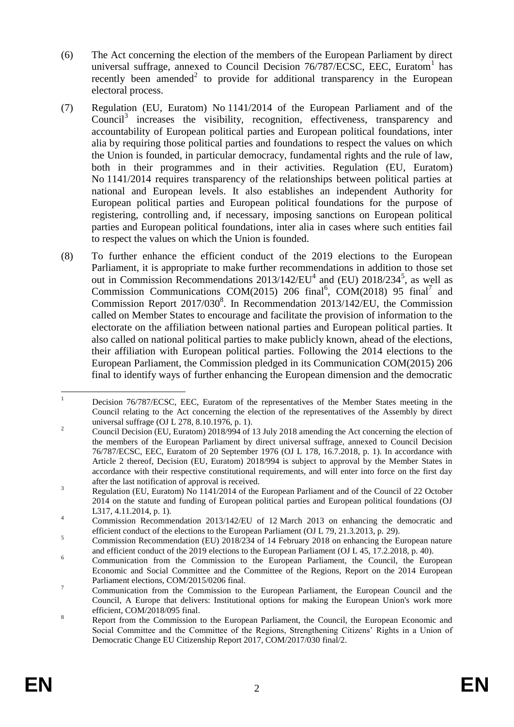- (6) The Act concerning the election of the members of the European Parliament by direct universal suffrage, annexed to Council Decision  $76/787$ /ECSC, EEC, Euratom<sup>1</sup> has recently been amended<sup>2</sup> to provide for additional transparency in the European electoral process.
- (7) Regulation (EU, Euratom) No 1141/2014 of the European Parliament and of the Council<sup>3</sup> increases the visibility, recognition, effectiveness, transparency and accountability of European political parties and European political foundations, inter alia by requiring those political parties and foundations to respect the values on which the Union is founded, in particular democracy, fundamental rights and the rule of law, both in their programmes and in their activities. Regulation (EU, Euratom) No 1141/2014 requires transparency of the relationships between political parties at national and European levels. It also establishes an independent Authority for European political parties and European political foundations for the purpose of registering, controlling and, if necessary, imposing sanctions on European political parties and European political foundations, inter alia in cases where such entities fail to respect the values on which the Union is founded.
- (8) To further enhance the efficient conduct of the 2019 elections to the European Parliament, it is appropriate to make further recommendations in addition to those set out in Commission Recommendations  $2013/142/EU<sup>4</sup>$  and (EU)  $2018/234<sup>5</sup>$ , as well as Commission Communications COM(2015) 206 final<sup>6</sup>, COM(2018) 95 final<sup>7</sup> and Commission Report 2017/030<sup>8</sup>. In Recommendation 2013/142/EU, the Commission called on Member States to encourage and facilitate the provision of information to the electorate on the affiliation between national parties and European political parties. It also called on national political parties to make publicly known, ahead of the elections, their affiliation with European political parties. Following the 2014 elections to the European Parliament, the Commission pledged in its Communication COM(2015) 206 final to identify ways of further enhancing the European dimension and the democratic

 $\mathbf{1}$ Decision 76/787/ECSC, EEC, Euratom of the representatives of the Member States meeting in the Council relating to the Act concerning the election of the representatives of the Assembly by direct universal suffrage (OJ L 278, 8.10.1976, p. 1).

<sup>&</sup>lt;sup>2</sup> Council Decision (EU, Euratom) 2018/994 of 13 July 2018 amending the Act concerning the election of the members of the European Parliament by direct universal suffrage, annexed to Council Decision 76/787/ECSC, EEC, Euratom of 20 September 1976 (OJ L 178, 16.7.2018, p. 1). In accordance with Article 2 thereof, Decision (EU, Euratom) 2018/994 is subject to approval by the Member States in accordance with their respective constitutional requirements, and will enter into force on the first day after the last notification of approval is received.

<sup>&</sup>lt;sup>3</sup><br>Regulation (EU, Euratom) No 1141/2014 of the European Parliament and of the Council of 22 October 2014 on the statute and funding of European political parties and European political foundations (OJ L317, 4.11.2014, p. 1).

<sup>&</sup>lt;sup>4</sup> Commission Recommendation 2013/142/EU of 12 March 2013 on enhancing the democratic and efficient conduct of the elections to the European Parliament (OJ L 79, 21.3.2013, p. 29).

<sup>&</sup>lt;sup>5</sup> Commission Recommendation (EU) 2018/234 of 14 February 2018 on enhancing the European nature and efficient conduct of the 2019 elections to the European Parliament (OJ L 45, 17.2.2018, p. 40).

<sup>6</sup> Communication from the Commission to the European Parliament, the Council, the European Economic and Social Committee and the Committee of the Regions, Report on the 2014 European Parliament elections, COM/2015/0206 final.

 $7 \text{ Communication from the Commission to the European Parliament, the European Council and the$ Council, A Europe that delivers: Institutional options for making the European Union's work more efficient, COM/2018/095 final.

<sup>&</sup>lt;sup>8</sup> Report from the Commission to the European Parliament, the Council, the European Economic and Social Committee and the Committee of the Regions, Strengthening Citizens' Rights in a Union of Democratic Change EU Citizenship Report 2017, COM/2017/030 final/2.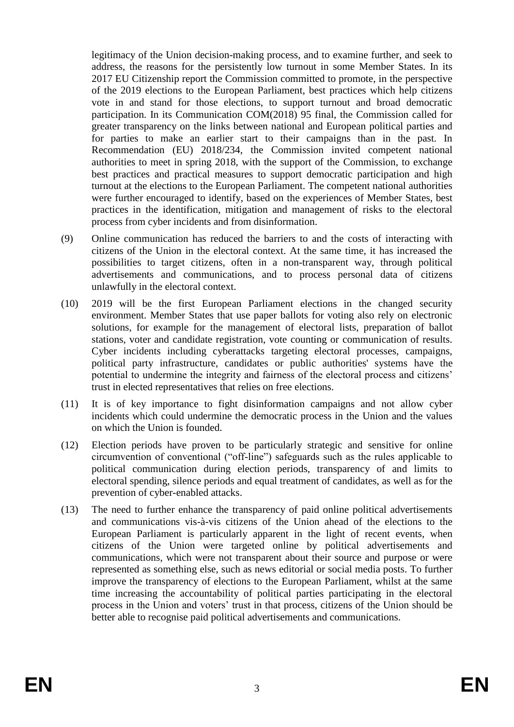legitimacy of the Union decision-making process, and to examine further, and seek to address, the reasons for the persistently low turnout in some Member States. In its 2017 EU Citizenship report the Commission committed to promote, in the perspective of the 2019 elections to the European Parliament, best practices which help citizens vote in and stand for those elections, to support turnout and broad democratic participation. In its Communication COM(2018) 95 final, the Commission called for greater transparency on the links between national and European political parties and for parties to make an earlier start to their campaigns than in the past. In Recommendation (EU) 2018/234, the Commission invited competent national authorities to meet in spring 2018, with the support of the Commission, to exchange best practices and practical measures to support democratic participation and high turnout at the elections to the European Parliament. The competent national authorities were further encouraged to identify, based on the experiences of Member States, best practices in the identification, mitigation and management of risks to the electoral process from cyber incidents and from disinformation.

- (9) Online communication has reduced the barriers to and the costs of interacting with citizens of the Union in the electoral context. At the same time, it has increased the possibilities to target citizens, often in a non-transparent way, through political advertisements and communications, and to process personal data of citizens unlawfully in the electoral context.
- (10) 2019 will be the first European Parliament elections in the changed security environment. Member States that use paper ballots for voting also rely on electronic solutions, for example for the management of electoral lists, preparation of ballot stations, voter and candidate registration, vote counting or communication of results. Cyber incidents including cyberattacks targeting electoral processes, campaigns, political party infrastructure, candidates or public authorities' systems have the potential to undermine the integrity and fairness of the electoral process and citizens' trust in elected representatives that relies on free elections.
- (11) It is of key importance to fight disinformation campaigns and not allow cyber incidents which could undermine the democratic process in the Union and the values on which the Union is founded.
- (12) Election periods have proven to be particularly strategic and sensitive for online circumvention of conventional ("off-line") safeguards such as the rules applicable to political communication during election periods, transparency of and limits to electoral spending, silence periods and equal treatment of candidates, as well as for the prevention of cyber-enabled attacks.
- (13) The need to further enhance the transparency of paid online political advertisements and communications vis-à-vis citizens of the Union ahead of the elections to the European Parliament is particularly apparent in the light of recent events, when citizens of the Union were targeted online by political advertisements and communications, which were not transparent about their source and purpose or were represented as something else, such as news editorial or social media posts. To further improve the transparency of elections to the European Parliament, whilst at the same time increasing the accountability of political parties participating in the electoral process in the Union and voters' trust in that process, citizens of the Union should be better able to recognise paid political advertisements and communications.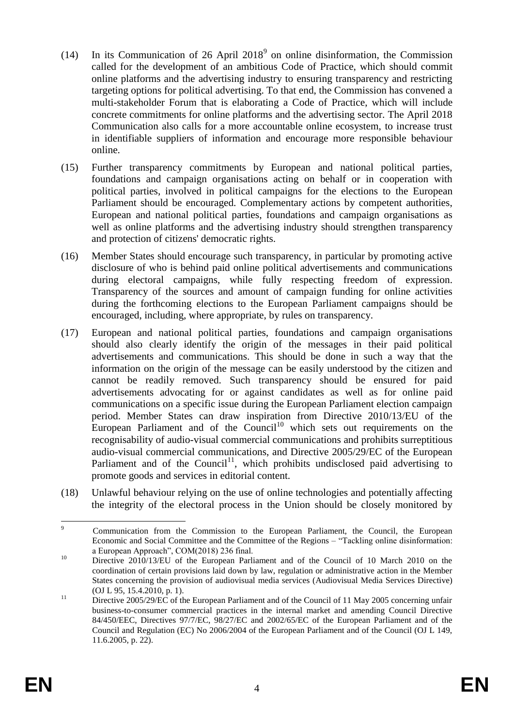- (14) In its Communication of 26 April  $2018<sup>9</sup>$  on online disinformation, the Commission called for the development of an ambitious Code of Practice, which should commit online platforms and the advertising industry to ensuring transparency and restricting targeting options for political advertising. To that end, the Commission has convened a multi-stakeholder Forum that is elaborating a Code of Practice, which will include concrete commitments for online platforms and the advertising sector. The April 2018 Communication also calls for a more accountable online ecosystem, to increase trust in identifiable suppliers of information and encourage more responsible behaviour online.
- (15) Further transparency commitments by European and national political parties, foundations and campaign organisations acting on behalf or in cooperation with political parties, involved in political campaigns for the elections to the European Parliament should be encouraged. Complementary actions by competent authorities, European and national political parties, foundations and campaign organisations as well as online platforms and the advertising industry should strengthen transparency and protection of citizens' democratic rights.
- (16) Member States should encourage such transparency, in particular by promoting active disclosure of who is behind paid online political advertisements and communications during electoral campaigns, while fully respecting freedom of expression. Transparency of the sources and amount of campaign funding for online activities during the forthcoming elections to the European Parliament campaigns should be encouraged, including, where appropriate, by rules on transparency.
- (17) European and national political parties, foundations and campaign organisations should also clearly identify the origin of the messages in their paid political advertisements and communications. This should be done in such a way that the information on the origin of the message can be easily understood by the citizen and cannot be readily removed. Such transparency should be ensured for paid advertisements advocating for or against candidates as well as for online paid communications on a specific issue during the European Parliament election campaign period. Member States can draw inspiration from Directive 2010/13/EU of the European Parliament and of the Council<sup>10</sup> which sets out requirements on the recognisability of audio-visual commercial communications and prohibits surreptitious audio-visual commercial communications, and Directive 2005/29/EC of the European Parliament and of the Council<sup>11</sup>, which prohibits undisclosed paid advertising to promote goods and services in editorial content.
- (18) Unlawful behaviour relying on the use of online technologies and potentially affecting the integrity of the electoral process in the Union should be closely monitored by

 $\overline{9}$ <sup>9</sup> [C](http://www.cc.cec/sg/vista/view/main/commissiondossier/commissionDossierDetail.jsf)ommunication from the Commission to the European Parliament, the Council, the European Economic and Social Committee and the Committee of the Regions – "Tackling online disinformation: a European Approach", COM(2018) 236 final.

<sup>&</sup>lt;sup>10</sup> Directive 2010/13/EU of the European Parliament and of the Council of 10 March 2010 on the coordination of certain provisions laid down by law, regulation or administrative action in the Member States concerning the provision of audiovisual media services (Audiovisual Media Services Directive) (OJ L 95, 15.4.2010, p. 1).

<sup>&</sup>lt;sup>11</sup> Directive 2005/29/EC of the European Parliament and of the Council of 11 May 2005 concerning unfair business-to-consumer commercial practices in the internal market and amending Council Directive 84/450/EEC, Directives 97/7/EC, 98/27/EC and 2002/65/EC of the European Parliament and of the Council and Regulation (EC) No 2006/2004 of the European Parliament and of the Council (OJ L 149, 11.6.2005, p. 22).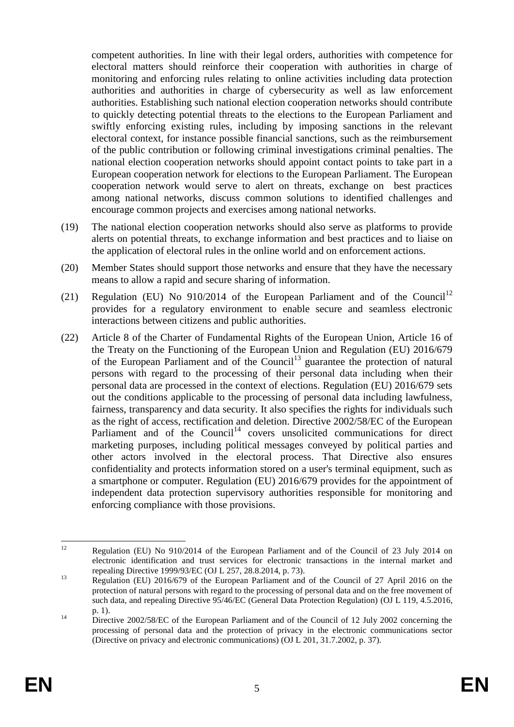competent authorities. In line with their legal orders, authorities with competence for electoral matters should reinforce their cooperation with authorities in charge of monitoring and enforcing rules relating to online activities including data protection authorities and authorities in charge of cybersecurity as well as law enforcement authorities. Establishing such national election cooperation networks should contribute to quickly detecting potential threats to the elections to the European Parliament and swiftly enforcing existing rules, including by imposing sanctions in the relevant electoral context, for instance possible financial sanctions, such as the reimbursement of the public contribution or following criminal investigations criminal penalties. The national election cooperation networks should appoint contact points to take part in a European cooperation network for elections to the European Parliament. The European cooperation network would serve to alert on threats, exchange on best practices among national networks, discuss common solutions to identified challenges and encourage common projects and exercises among national networks.

- (19) The national election cooperation networks should also serve as platforms to provide alerts on potential threats, to exchange information and best practices and to liaise on the application of electoral rules in the online world and on enforcement actions.
- (20) Member States should support those networks and ensure that they have the necessary means to allow a rapid and secure sharing of information.
- (21) Regulation (EU) No 910/2014 of the European Parliament and of the Council<sup>12</sup> provides for a regulatory environment to enable secure and seamless electronic interactions between citizens and public authorities.
- (22) Article 8 of the Charter of Fundamental Rights of the European Union, Article 16 of the Treaty on the Functioning of the European Union and Regulation (EU) 2016/679 of the European Parliament and of the Council<sup>13</sup> guarantee the protection of natural persons with regard to the processing of their personal data including when their personal data are processed in the context of elections. Regulation (EU) 2016/679 sets out the conditions applicable to the processing of personal data including lawfulness, fairness, transparency and data security. It also specifies the rights for individuals such as the right of access, rectification and deletion. Directive 2002/58/EC of the European Parliament and of the Council<sup>14</sup> covers unsolicited communications for direct marketing purposes, including political messages conveyed by political parties and other actors involved in the electoral process. That Directive also ensures confidentiality and protects information stored on a user's terminal equipment, such as a smartphone or computer. Regulation (EU) 2016/679 provides for the appointment of independent data protection supervisory authorities responsible for monitoring and enforcing compliance with those provisions.

 $12$ <sup>12</sup> Regulation (EU) No 910/2014 of the European Parliament and of the Council of 23 July 2014 on electronic identification and trust services for electronic transactions in the internal market and repealing Directive 1999/93/EC (OJ L 257, 28.8.2014, p. 73).

<sup>&</sup>lt;sup>13</sup><br>Regulation (EU) 2016/679 of the European Parliament and of the Council of 27 April 2016 on the protection of natural persons with regard to the processing of personal data and on the free movement of such data, and repealing Directive 95/46/EC (General Data Protection Regulation) (OJ L 119, 4.5.2016, p. 1).

<sup>&</sup>lt;sup>14</sup> Directive 2002/58/EC of the European Parliament and of the Council of 12 July 2002 concerning the processing of personal data and the protection of privacy in the electronic communications sector (Directive on privacy and electronic communications) (OJ L 201, 31.7.2002, p. 37).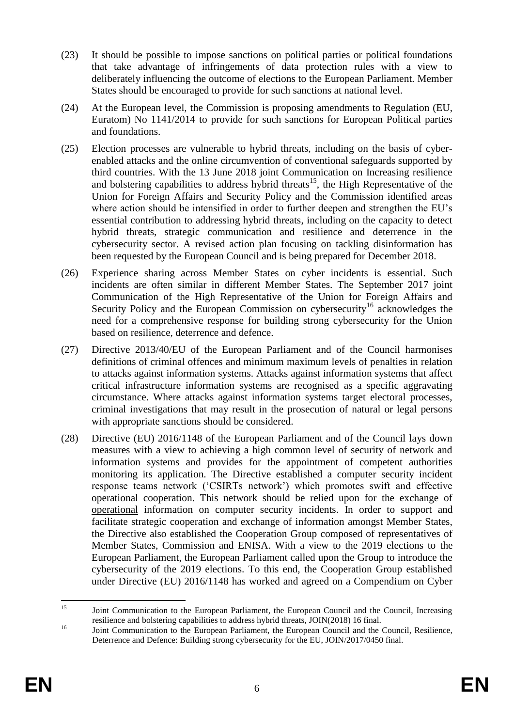- (23) It should be possible to impose sanctions on political parties or political foundations that take advantage of infringements of data protection rules with a view to deliberately influencing the outcome of elections to the European Parliament. Member States should be encouraged to provide for such sanctions at national level.
- (24) At the European level, the Commission is proposing amendments to Regulation (EU, Euratom) No 1141/2014 to provide for such sanctions for European Political parties and foundations.
- (25) Election processes are vulnerable to hybrid threats, including on the basis of cyberenabled attacks and the online circumvention of conventional safeguards supported by third countries. With the 13 June 2018 joint Communication on Increasing resilience and bolstering capabilities to address hybrid threats<sup>15</sup>, the High Representative of the Union for Foreign Affairs and Security Policy and the Commission identified areas where action should be intensified in order to further deepen and strengthen the EU's essential contribution to addressing hybrid threats, including on the capacity to detect hybrid threats, strategic communication and resilience and deterrence in the cybersecurity sector. A revised action plan focusing on tackling disinformation has been requested by the European Council and is being prepared for December 2018.
- (26) Experience sharing across Member States on cyber incidents is essential. Such incidents are often similar in different Member States. The September 2017 joint Communication of the High Representative of the Union for Foreign Affairs and Security Policy and the European Commission on cybersecurity<sup>16</sup> acknowledges the need for a comprehensive response for building strong cybersecurity for the Union based on resilience, deterrence and defence.
- (27) Directive 2013/40/EU of the European Parliament and of the Council harmonises definitions of criminal offences and minimum maximum levels of penalties in relation to attacks against information systems. Attacks against information systems that affect critical infrastructure information systems are recognised as a specific aggravating circumstance. Where attacks against information systems target electoral processes, criminal investigations that may result in the prosecution of natural or legal persons with appropriate sanctions should be considered.
- (28) Directive (EU) 2016/1148 of the European Parliament and of the Council lays down measures with a view to achieving a high common level of security of network and information systems and provides for the appointment of competent authorities monitoring its application. The Directive established a computer security incident response teams network ('CSIRTs network') which promotes swift and effective operational cooperation. This network should be relied upon for the exchange of operational information on computer security incidents. In order to support and facilitate strategic cooperation and exchange of information amongst Member States, the Directive also established the Cooperation Group composed of representatives of Member States, Commission and ENISA. With a view to the 2019 elections to the European Parliament, the European Parliament called upon the Group to introduce the cybersecurity of the 2019 elections. To this end, the Cooperation Group established under Directive (EU) 2016/1148 has worked and agreed on a Compendium on Cyber

 $15$ <sup>15</sup> Joint Communication to the European Parliament, the European Council and the Council, Increasing resilience and bolstering capabilities to address hybrid threats, JOIN(2018) 16 final.

<sup>&</sup>lt;sup>16</sup> Joint Communication to the European Parliament, the European Council and the Council, Resilience, Deterrence and Defence: Building strong cybersecurity for the EU, JOIN/2017/0450 final.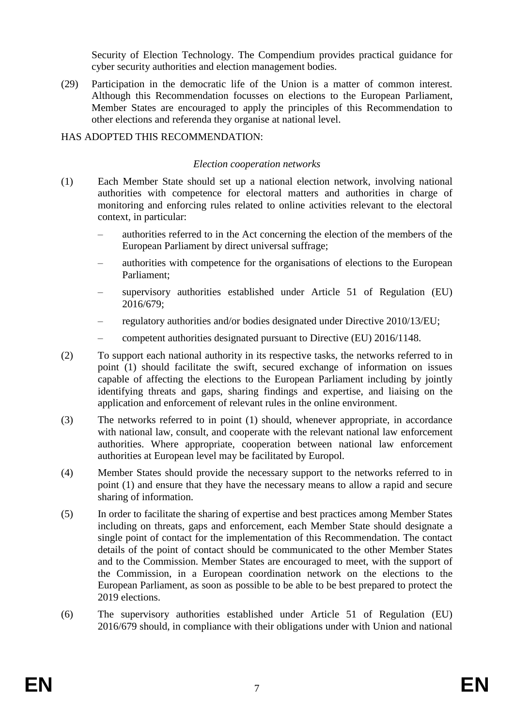Security of Election Technology. The Compendium provides practical guidance for cyber security authorities and election management bodies.

(29) Participation in the democratic life of the Union is a matter of common interest. Although this Recommendation focusses on elections to the European Parliament, Member States are encouraged to apply the principles of this Recommendation to other elections and referenda they organise at national level.

### HAS ADOPTED THIS RECOMMENDATION:

#### *Election cooperation networks*

- (1) Each Member State should set up a national election network, involving national authorities with competence for electoral matters and authorities in charge of monitoring and enforcing rules related to online activities relevant to the electoral context, in particular:
	- authorities referred to in the Act concerning the election of the members of the European Parliament by direct universal suffrage;
	- authorities with competence for the organisations of elections to the European Parliament;
	- supervisory authorities established under Article 51 of Regulation (EU) 2016/679;
	- regulatory authorities and/or bodies designated under Directive 2010/13/EU;
	- competent authorities designated pursuant to Directive (EU) 2016/1148.
- (2) To support each national authority in its respective tasks, the networks referred to in point (1) should facilitate the swift, secured exchange of information on issues capable of affecting the elections to the European Parliament including by jointly identifying threats and gaps, sharing findings and expertise, and liaising on the application and enforcement of relevant rules in the online environment.
- (3) The networks referred to in point (1) should, whenever appropriate, in accordance with national law, consult, and cooperate with the relevant national law enforcement authorities. Where appropriate, cooperation between national law enforcement authorities at European level may be facilitated by Europol.
- (4) Member States should provide the necessary support to the networks referred to in point (1) and ensure that they have the necessary means to allow a rapid and secure sharing of information.
- (5) In order to facilitate the sharing of expertise and best practices among Member States including on threats, gaps and enforcement, each Member State should designate a single point of contact for the implementation of this Recommendation. The contact details of the point of contact should be communicated to the other Member States and to the Commission. Member States are encouraged to meet, with the support of the Commission, in a European coordination network on the elections to the European Parliament, as soon as possible to be able to be best prepared to protect the 2019 elections.
- (6) The supervisory authorities established under Article 51 of Regulation (EU) 2016/679 should, in compliance with their obligations under with Union and national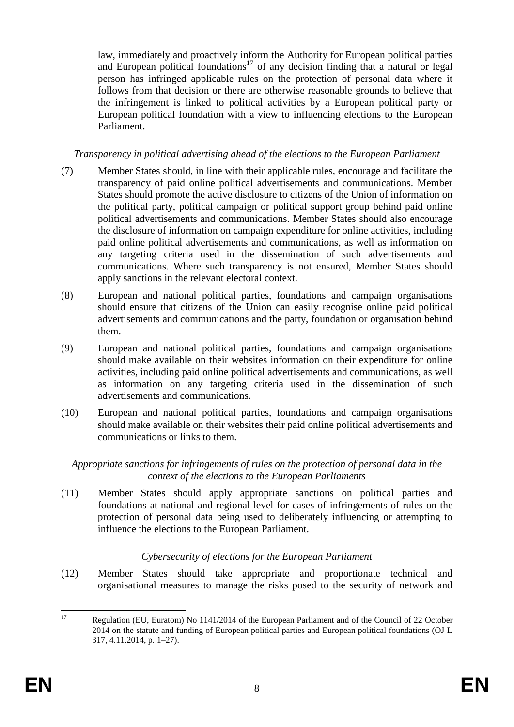law, immediately and proactively inform the Authority for European political parties and European political foundations<sup>17</sup> of any decision finding that a natural or legal person has infringed applicable rules on the protection of personal data where it follows from that decision or there are otherwise reasonable grounds to believe that the infringement is linked to political activities by a European political party or European political foundation with a view to influencing elections to the European Parliament.

### *Transparency in political advertising ahead of the elections to the European Parliament*

- (7) Member States should, in line with their applicable rules, encourage and facilitate the transparency of paid online political advertisements and communications. Member States should promote the active disclosure to citizens of the Union of information on the political party, political campaign or political support group behind paid online political advertisements and communications. Member States should also encourage the disclosure of information on campaign expenditure for online activities, including paid online political advertisements and communications, as well as information on any targeting criteria used in the dissemination of such advertisements and communications. Where such transparency is not ensured, Member States should apply sanctions in the relevant electoral context.
- (8) European and national political parties, foundations and campaign organisations should ensure that citizens of the Union can easily recognise online paid political advertisements and communications and the party, foundation or organisation behind them.
- (9) European and national political parties, foundations and campaign organisations should make available on their websites information on their expenditure for online activities, including paid online political advertisements and communications, as well as information on any targeting criteria used in the dissemination of such advertisements and communications.
- (10) European and national political parties, foundations and campaign organisations should make available on their websites their paid online political advertisements and communications or links to them.

# *Appropriate sanctions for infringements of rules on the protection of personal data in the context of the elections to the European Parliaments*

(11) Member States should apply appropriate sanctions on political parties and foundations at national and regional level for cases of infringements of rules on the protection of personal data being used to deliberately influencing or attempting to influence the elections to the European Parliament.

## *Cybersecurity of elections for the European Parliament*

(12) Member States should take appropriate and proportionate technical and organisational measures to manage the risks posed to the security of network and

 $17$ Regulation (EU, Euratom) No 1141/2014 of the European Parliament and of the Council of 22 October 2014 on the statute and funding of European political parties and European political foundations (OJ L 317, 4.11.2014, p. 1–27).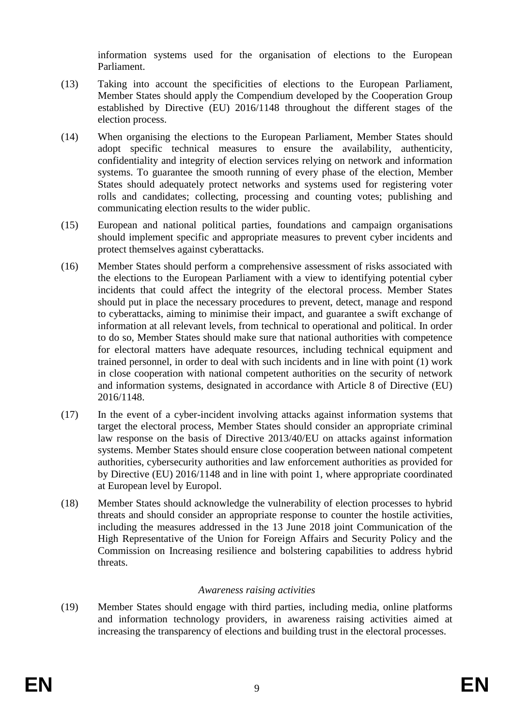information systems used for the organisation of elections to the European Parliament.

- (13) Taking into account the specificities of elections to the European Parliament, Member States should apply the Compendium developed by the Cooperation Group established by Directive (EU) 2016/1148 throughout the different stages of the election process.
- (14) When organising the elections to the European Parliament, Member States should adopt specific technical measures to ensure the availability, authenticity, confidentiality and integrity of election services relying on network and information systems. To guarantee the smooth running of every phase of the election, Member States should adequately protect networks and systems used for registering voter rolls and candidates; collecting, processing and counting votes; publishing and communicating election results to the wider public.
- (15) European and national political parties, foundations and campaign organisations should implement specific and appropriate measures to prevent cyber incidents and protect themselves against cyberattacks.
- (16) Member States should perform a comprehensive assessment of risks associated with the elections to the European Parliament with a view to identifying potential cyber incidents that could affect the integrity of the electoral process. Member States should put in place the necessary procedures to prevent, detect, manage and respond to cyberattacks, aiming to minimise their impact, and guarantee a swift exchange of information at all relevant levels, from technical to operational and political. In order to do so, Member States should make sure that national authorities with competence for electoral matters have adequate resources, including technical equipment and trained personnel, in order to deal with such incidents and in line with point (1) work in close cooperation with national competent authorities on the security of network and information systems, designated in accordance with Article 8 of Directive (EU) 2016/1148.
- (17) In the event of a cyber-incident involving attacks against information systems that target the electoral process, Member States should consider an appropriate criminal law response on the basis of Directive 2013/40/EU on attacks against information systems. Member States should ensure close cooperation between national competent authorities, cybersecurity authorities and law enforcement authorities as provided for by Directive (EU) 2016/1148 and in line with point 1, where appropriate coordinated at European level by Europol.
- (18) Member States should acknowledge the vulnerability of election processes to hybrid threats and should consider an appropriate response to counter the hostile activities, including the measures addressed in the 13 June 2018 joint Communication of the High Representative of the Union for Foreign Affairs and Security Policy and the Commission on Increasing resilience and bolstering capabilities to address hybrid threats.

#### *Awareness raising activities*

(19) Member States should engage with third parties, including media, online platforms and information technology providers, in awareness raising activities aimed at increasing the transparency of elections and building trust in the electoral processes.